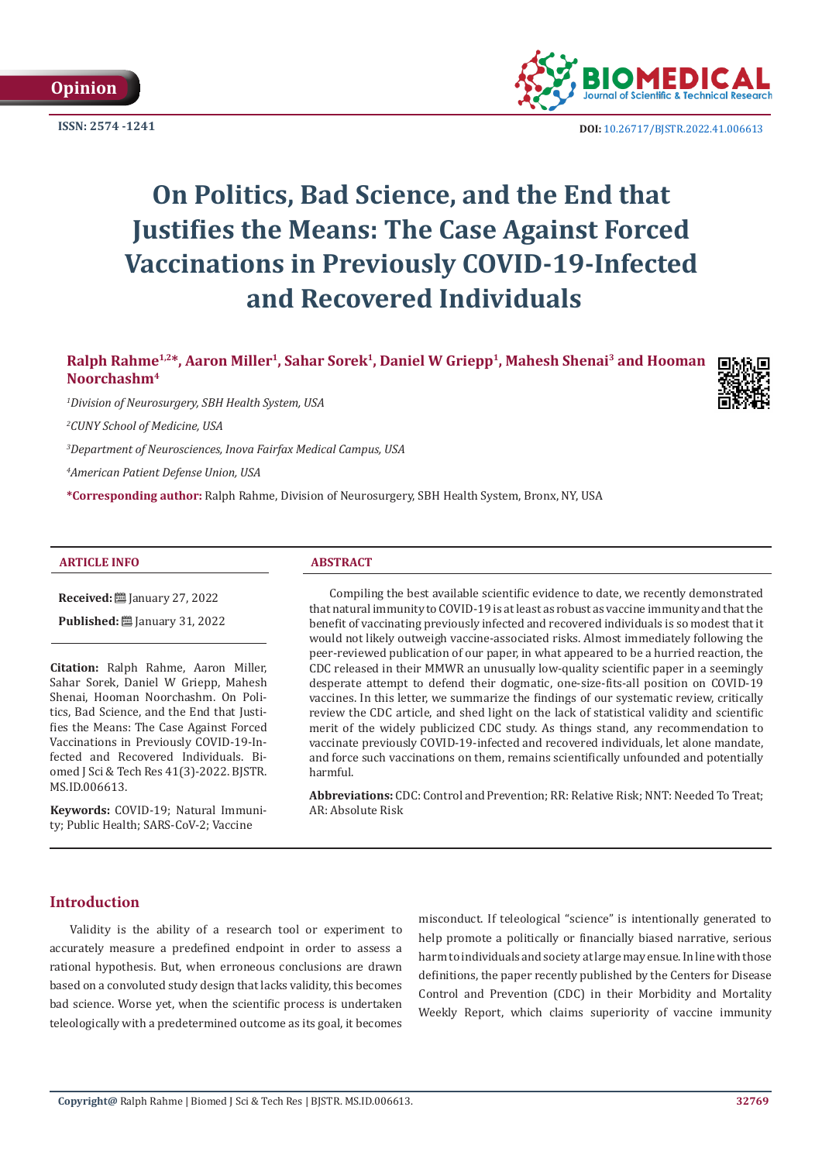



**ISSN:** 2574 -1241 **DOI:** [10.26717/BJSTR.2022.41.006613](https://dx.doi.org/10.26717/BJSTR.2022.41.006613)

# **On Politics, Bad Science, and the End that Justifies the Means: The Case Against Forced Vaccinations in Previously COVID-19-Infected and Recovered Individuals**

# **Ralph Rahme1,2\*, Aaron Miller<sup>1</sup>, Sahar Sorek<sup>1</sup>, Daniel W Griepp<sup>1</sup>, Mahesh Shenai3 and Hooman Noorchashm<sup>4</sup>**

*1 Division of Neurosurgery, SBH Health System, USA*

*2 CUNY School of Medicine, USA*

*3 Department of Neurosciences, Inova Fairfax Medical Campus, USA*

*4 American Patient Defense Union, USA*

**\*Corresponding author:** Ralph Rahme, Division of Neurosurgery, SBH Health System, Bronx, NY, USA

#### **ARTICLE INFO ABSTRACT**

**Received:** January 27, 2022

**Published:** ■ January 31, 2022

**Citation:** Ralph Rahme, Aaron Miller, Sahar Sorek, Daniel W Griepp, Mahesh Shenai, Hooman Noorchashm. On Politics, Bad Science, and the End that Justifies the Means: The Case Against Forced Vaccinations in Previously COVID-19-Infected and Recovered Individuals. Biomed J Sci & Tech Res 41(3)-2022. BJSTR. MS.ID.006613.

**Keywords:** COVID-19; Natural Immunity; Public Health; SARS-CoV-2; Vaccine

Compiling the best available scientific evidence to date, we recently demonstrated that natural immunity to COVID-19 is at least as robust as vaccine immunity and that the benefit of vaccinating previously infected and recovered individuals is so modest that it would not likely outweigh vaccine-associated risks. Almost immediately following the peer-reviewed publication of our paper, in what appeared to be a hurried reaction, the CDC released in their MMWR an unusually low-quality scientific paper in a seemingly desperate attempt to defend their dogmatic, one-size-fits-all position on COVID-19 vaccines. In this letter, we summarize the findings of our systematic review, critically review the CDC article, and shed light on the lack of statistical validity and scientific merit of the widely publicized CDC study. As things stand, any recommendation to vaccinate previously COVID-19-infected and recovered individuals, let alone mandate, and force such vaccinations on them, remains scientifically unfounded and potentially harmful.

**Abbreviations:** CDC: Control and Prevention; RR: Relative Risk; NNT: Needed To Treat; AR: Absolute Risk

#### **Introduction**

Validity is the ability of a research tool or experiment to accurately measure a predefined endpoint in order to assess a rational hypothesis. But, when erroneous conclusions are drawn based on a convoluted study design that lacks validity, this becomes bad science. Worse yet, when the scientific process is undertaken teleologically with a predetermined outcome as its goal, it becomes misconduct. If teleological "science" is intentionally generated to help promote a politically or financially biased narrative, serious harm to individuals and society at large may ensue. In line with those definitions, the paper recently published by the Centers for Disease Control and Prevention (CDC) in their Morbidity and Mortality Weekly Report, which claims superiority of vaccine immunity

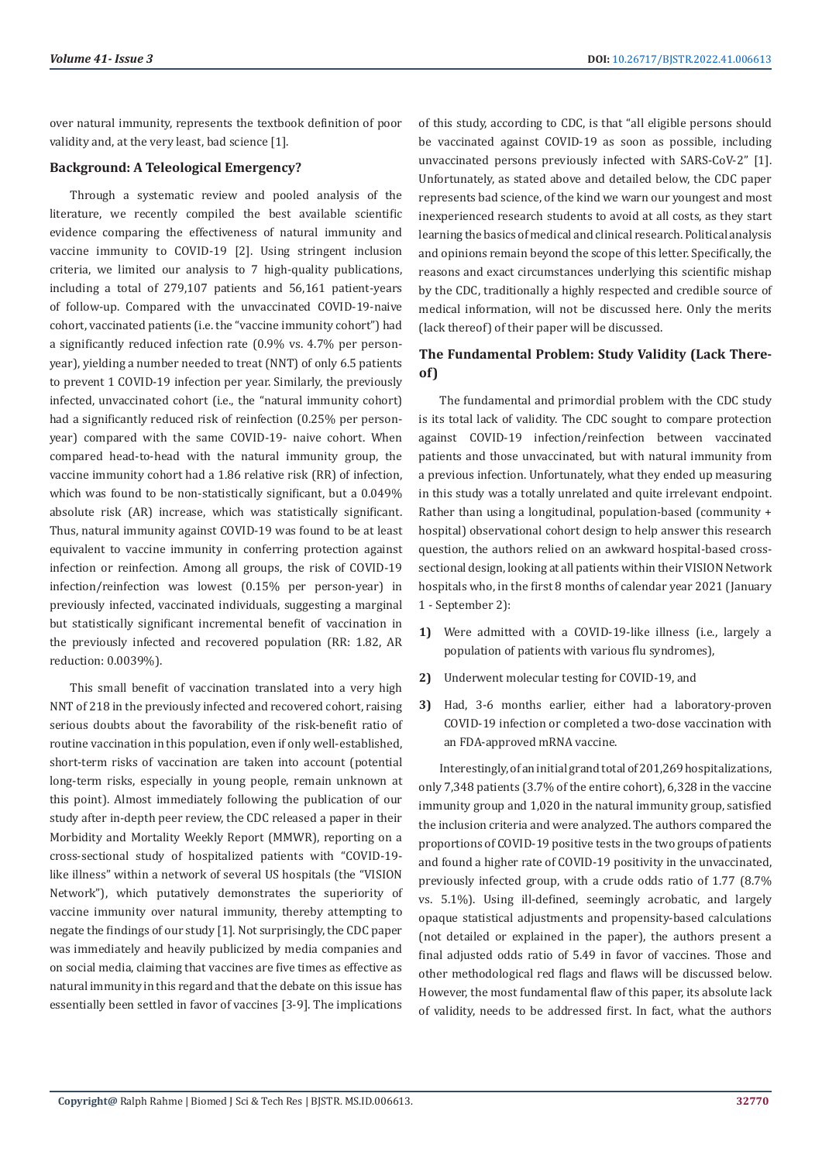over natural immunity, represents the textbook definition of poor validity and, at the very least, bad science [1].

#### **Background: A Teleological Emergency?**

Through a systematic review and pooled analysis of the literature, we recently compiled the best available scientific evidence comparing the effectiveness of natural immunity and vaccine immunity to COVID-19 [2]. Using stringent inclusion criteria, we limited our analysis to 7 high-quality publications, including a total of 279,107 patients and 56,161 patient-years of follow-up. Compared with the unvaccinated COVID-19-naive cohort, vaccinated patients (i.e. the "vaccine immunity cohort") had a significantly reduced infection rate (0.9% vs. 4.7% per personyear), yielding a number needed to treat (NNT) of only 6.5 patients to prevent 1 COVID-19 infection per year. Similarly, the previously infected, unvaccinated cohort (i.e., the "natural immunity cohort) had a significantly reduced risk of reinfection (0.25% per personyear) compared with the same COVID-19- naive cohort. When compared head-to-head with the natural immunity group, the vaccine immunity cohort had a 1.86 relative risk (RR) of infection, which was found to be non-statistically significant, but a 0.049% absolute risk (AR) increase, which was statistically significant. Thus, natural immunity against COVID-19 was found to be at least equivalent to vaccine immunity in conferring protection against infection or reinfection. Among all groups, the risk of COVID-19 infection/reinfection was lowest (0.15% per person-year) in previously infected, vaccinated individuals, suggesting a marginal but statistically significant incremental benefit of vaccination in the previously infected and recovered population (RR: 1.82, AR reduction: 0.0039%).

This small benefit of vaccination translated into a very high NNT of 218 in the previously infected and recovered cohort, raising serious doubts about the favorability of the risk-benefit ratio of routine vaccination in this population, even if only well-established, short-term risks of vaccination are taken into account (potential long-term risks, especially in young people, remain unknown at this point). Almost immediately following the publication of our study after in-depth peer review, the CDC released a paper in their Morbidity and Mortality Weekly Report (MMWR), reporting on a cross-sectional study of hospitalized patients with "COVID-19 like illness" within a network of several US hospitals (the "VISION Network"), which putatively demonstrates the superiority of vaccine immunity over natural immunity, thereby attempting to negate the findings of our study [1]. Not surprisingly, the CDC paper was immediately and heavily publicized by media companies and on social media, claiming that vaccines are five times as effective as natural immunity in this regard and that the debate on this issue has essentially been settled in favor of vaccines [3-9]. The implications of this study, according to CDC, is that "all eligible persons should be vaccinated against COVID-19 as soon as possible, including unvaccinated persons previously infected with SARS-CoV-2" [1]. Unfortunately, as stated above and detailed below, the CDC paper represents bad science, of the kind we warn our youngest and most inexperienced research students to avoid at all costs, as they start learning the basics of medical and clinical research. Political analysis and opinions remain beyond the scope of this letter. Specifically, the reasons and exact circumstances underlying this scientific mishap by the CDC, traditionally a highly respected and credible source of medical information, will not be discussed here. Only the merits (lack thereof) of their paper will be discussed.

# **The Fundamental Problem: Study Validity (Lack Thereof)**

The fundamental and primordial problem with the CDC study is its total lack of validity. The CDC sought to compare protection against COVID-19 infection/reinfection between vaccinated patients and those unvaccinated, but with natural immunity from a previous infection. Unfortunately, what they ended up measuring in this study was a totally unrelated and quite irrelevant endpoint. Rather than using a longitudinal, population-based (community + hospital) observational cohort design to help answer this research question, the authors relied on an awkward hospital-based crosssectional design, looking at all patients within their VISION Network hospitals who, in the first 8 months of calendar year 2021 (January 1 - September 2):

- **1)** Were admitted with a COVID-19-like illness (i.e., largely a population of patients with various flu syndromes),
- **2)** Underwent molecular testing for COVID-19, and
- **3)** Had, 3-6 months earlier, either had a laboratory-proven COVID-19 infection or completed a two-dose vaccination with an FDA-approved mRNA vaccine.

Interestingly, of an initial grand total of 201,269 hospitalizations, only 7,348 patients (3.7% of the entire cohort), 6,328 in the vaccine immunity group and 1,020 in the natural immunity group, satisfied the inclusion criteria and were analyzed. The authors compared the proportions of COVID-19 positive tests in the two groups of patients and found a higher rate of COVID-19 positivity in the unvaccinated, previously infected group, with a crude odds ratio of 1.77 (8.7% vs. 5.1%). Using ill-defined, seemingly acrobatic, and largely opaque statistical adjustments and propensity-based calculations (not detailed or explained in the paper), the authors present a final adjusted odds ratio of 5.49 in favor of vaccines. Those and other methodological red flags and flaws will be discussed below. However, the most fundamental flaw of this paper, its absolute lack of validity, needs to be addressed first. In fact, what the authors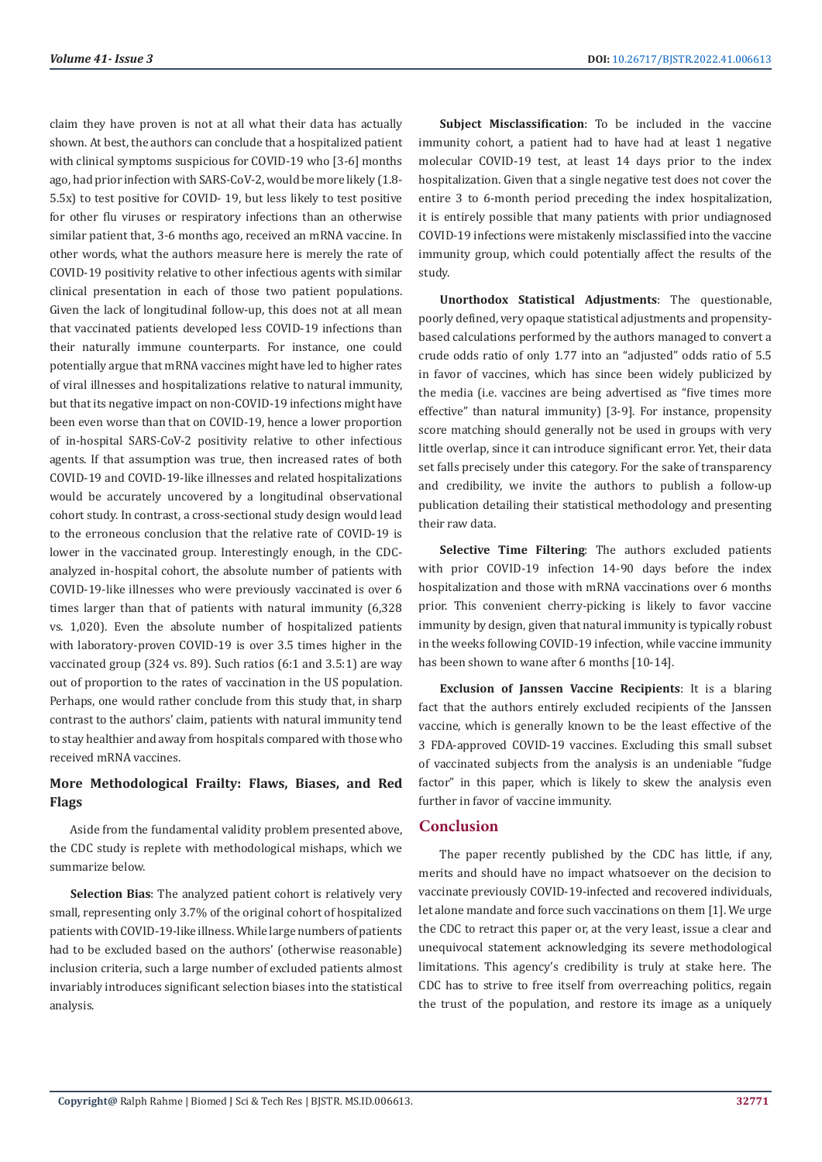claim they have proven is not at all what their data has actually shown. At best, the authors can conclude that a hospitalized patient with clinical symptoms suspicious for COVID-19 who [3-6] months ago, had prior infection with SARS-CoV-2, would be more likely (1.8- 5.5x) to test positive for COVID- 19, but less likely to test positive for other flu viruses or respiratory infections than an otherwise similar patient that, 3-6 months ago, received an mRNA vaccine. In other words, what the authors measure here is merely the rate of COVID-19 positivity relative to other infectious agents with similar clinical presentation in each of those two patient populations. Given the lack of longitudinal follow-up, this does not at all mean that vaccinated patients developed less COVID-19 infections than their naturally immune counterparts. For instance, one could potentially argue that mRNA vaccines might have led to higher rates of viral illnesses and hospitalizations relative to natural immunity, but that its negative impact on non-COVID-19 infections might have been even worse than that on COVID-19, hence a lower proportion of in-hospital SARS-CoV-2 positivity relative to other infectious agents. If that assumption was true, then increased rates of both COVID-19 and COVID-19-like illnesses and related hospitalizations would be accurately uncovered by a longitudinal observational cohort study. In contrast, a cross-sectional study design would lead to the erroneous conclusion that the relative rate of COVID-19 is lower in the vaccinated group. Interestingly enough, in the CDCanalyzed in-hospital cohort, the absolute number of patients with COVID-19-like illnesses who were previously vaccinated is over 6 times larger than that of patients with natural immunity (6,328 vs. 1,020). Even the absolute number of hospitalized patients with laboratory-proven COVID-19 is over 3.5 times higher in the vaccinated group (324 vs. 89). Such ratios (6:1 and 3.5:1) are way out of proportion to the rates of vaccination in the US population. Perhaps, one would rather conclude from this study that, in sharp contrast to the authors' claim, patients with natural immunity tend to stay healthier and away from hospitals compared with those who received mRNA vaccines.

## **More Methodological Frailty: Flaws, Biases, and Red Flags**

Aside from the fundamental validity problem presented above, the CDC study is replete with methodological mishaps, which we summarize below.

**Selection Bias**: The analyzed patient cohort is relatively very small, representing only 3.7% of the original cohort of hospitalized patients with COVID-19-like illness. While large numbers of patients had to be excluded based on the authors' (otherwise reasonable) inclusion criteria, such a large number of excluded patients almost invariably introduces significant selection biases into the statistical analysis.

**Subject Misclassification**: To be included in the vaccine immunity cohort, a patient had to have had at least 1 negative molecular COVID-19 test, at least 14 days prior to the index hospitalization. Given that a single negative test does not cover the entire 3 to 6-month period preceding the index hospitalization, it is entirely possible that many patients with prior undiagnosed COVID-19 infections were mistakenly misclassified into the vaccine immunity group, which could potentially affect the results of the study.

**Unorthodox Statistical Adjustments**: The questionable, poorly defined, very opaque statistical adjustments and propensitybased calculations performed by the authors managed to convert a crude odds ratio of only 1.77 into an "adjusted" odds ratio of 5.5 in favor of vaccines, which has since been widely publicized by the media (i.e. vaccines are being advertised as "five times more effective" than natural immunity) [3-9]. For instance, propensity score matching should generally not be used in groups with very little overlap, since it can introduce significant error. Yet, their data set falls precisely under this category. For the sake of transparency and credibility, we invite the authors to publish a follow-up publication detailing their statistical methodology and presenting their raw data.

**Selective Time Filtering**: The authors excluded patients with prior COVID-19 infection 14-90 days before the index hospitalization and those with mRNA vaccinations over 6 months prior. This convenient cherry-picking is likely to favor vaccine immunity by design, given that natural immunity is typically robust in the weeks following COVID-19 infection, while vaccine immunity has been shown to wane after 6 months [10-14].

**Exclusion of Janssen Vaccine Recipients**: It is a blaring fact that the authors entirely excluded recipients of the Janssen vaccine, which is generally known to be the least effective of the 3 FDA-approved COVID-19 vaccines. Excluding this small subset of vaccinated subjects from the analysis is an undeniable "fudge factor" in this paper, which is likely to skew the analysis even further in favor of vaccine immunity.

#### **Conclusion**

The paper recently published by the CDC has little, if any, merits and should have no impact whatsoever on the decision to vaccinate previously COVID-19-infected and recovered individuals, let alone mandate and force such vaccinations on them [1]. We urge the CDC to retract this paper or, at the very least, issue a clear and unequivocal statement acknowledging its severe methodological limitations. This agency's credibility is truly at stake here. The CDC has to strive to free itself from overreaching politics, regain the trust of the population, and restore its image as a uniquely